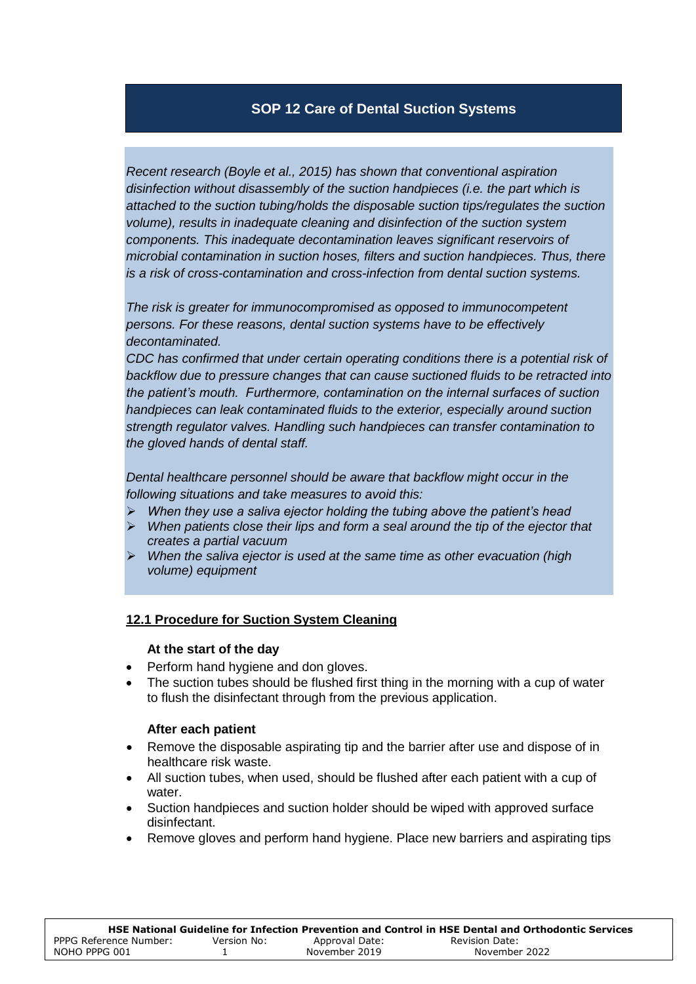# **SOP 12 Care of Dental Suction Systems**

*Recent research (Boyle et al., 2015) has shown that conventional aspiration disinfection without disassembly of the suction handpieces (i.e. the part which is attached to the suction tubing/holds the disposable suction tips/regulates the suction volume), results in inadequate cleaning and disinfection of the suction system components. This inadequate decontamination leaves significant reservoirs of microbial contamination in suction hoses, filters and suction handpieces. Thus, there is a risk of cross-contamination and cross-infection from dental suction systems.* 

*The risk is greater for immunocompromised as opposed to immunocompetent persons. For these reasons, dental suction systems have to be effectively decontaminated.* 

*CDC has confirmed that under certain operating conditions there is a potential risk of backflow due to pressure changes that can cause suctioned fluids to be retracted into the patient's mouth. Furthermore, contamination on the internal surfaces of suction handpieces can leak contaminated fluids to the exterior, especially around suction strength regulator valves. Handling such handpieces can transfer contamination to the gloved hands of dental staff.* 

*Dental healthcare personnel should be aware that backflow might occur in the following situations and take measures to avoid this:* 

- *When they use a saliva ejector holding the tubing above the patient's head*
- *When patients close their lips and form a seal around the tip of the ejector that creates a partial vacuum*
- *When the saliva ejector is used at the same time as other evacuation (high volume) equipment*

### **12.1 Procedure for Suction System Cleaning**

#### **At the start of the day**

- Perform hand hygiene and don gloves.
- The suction tubes should be flushed first thing in the morning with a cup of water to flush the disinfectant through from the previous application.

### **After each patient**

- Remove the disposable aspirating tip and the barrier after use and dispose of in healthcare risk waste.
- All suction tubes, when used, should be flushed after each patient with a cup of water.
- Suction handpieces and suction holder should be wiped with approved surface disinfectant.
- Remove gloves and perform hand hygiene. Place new barriers and aspirating tips

|                        |             |                | HSE National Guideline for Infection Prevention and Control in HSE Dental and Orthodontic Services |
|------------------------|-------------|----------------|----------------------------------------------------------------------------------------------------|
| PPPG Reference Number: | Version No: | Approval Date: | Revision Date:                                                                                     |
| NOHO PPPG 001          |             | November 2019  | November 2022                                                                                      |